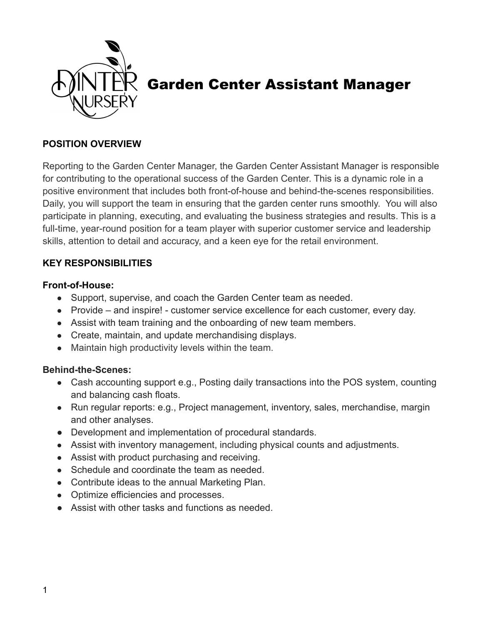

# Garden Center Assistant Manager

#### **POSITION OVERVIEW**

Reporting to the Garden Center Manager, the Garden Center Assistant Manager is responsible for contributing to the operational success of the Garden Center. This is a dynamic role in a positive environment that includes both front-of-house and behind-the-scenes responsibilities. Daily, you will support the team in ensuring that the garden center runs smoothly. You will also participate in planning, executing, and evaluating the business strategies and results. This is a full-time, year-round position for a team player with superior customer service and leadership skills, attention to detail and accuracy, and a keen eye for the retail environment.

### **KEY RESPONSIBILITIES**

#### **Front-of-House:**

- Support, supervise, and coach the Garden Center team as needed.
- Provide and inspire! customer service excellence for each customer, every day.
- Assist with team training and the onboarding of new team members.
- Create, maintain, and update merchandising displays.
- Maintain high productivity levels within the team.

#### **Behind-the-Scenes:**

- Cash accounting support e.g., Posting daily transactions into the POS system, counting and balancing cash floats.
- Run regular reports: e.g., Project management, inventory, sales, merchandise, margin and other analyses.
- Development and implementation of procedural standards.
- Assist with inventory management, including physical counts and adjustments.
- Assist with product purchasing and receiving.
- Schedule and coordinate the team as needed.
- Contribute ideas to the annual Marketing Plan.
- Optimize efficiencies and processes.
- Assist with other tasks and functions as needed.